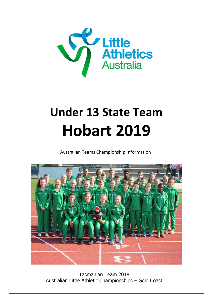

# **Under 13 State Team Hobart 2019**

Australian Teams Championship Information



Tasmanian Team 2018 Australian Little Athletic Championships – Gold Coast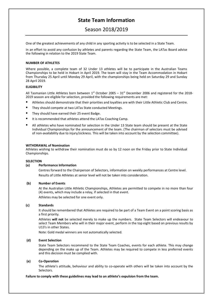# **State Team Information**

# Season 2018/2019

One of the greatest achievements of any child in any sporting activity is to be selected in a State Team.

In an effort to avoid any confusion by athletes and parents regarding the State Team, the LATas Board advise the following in relation to the 2019 State Team.

# **NUMBER OF ATHLETES**

Where possible, a complete team of 32 Under 13 athletes will be to participate in the Australian Teams Championships to be held in Hobart in April 2019. The team will stay in the Team Accommodation in Hobart from Thursday 25 April until Monday 29 April, with the championships being held on Saturday 29 and Sunday 28 April 2019.

### **ELIGIBILITY**

All Tasmanian Little Athletes born between  $1<sup>st</sup>$  October 2005 –  $31<sup>st</sup>$  December 2006 and registered for the 2018-2019 season are eligible for selection, provided the following requirements are met:

- Athletes should demonstrate that their priorities and loyalties are with their Little Athletic Club and Centre.
- They should compete at two LATas State conducted Meetings.
- They should have earned their 25 event Badge.
- It is recommended that athletes attend the LATas Coaching Camp.
- All athletes who have nominated for selection in the Under 13 State team should be present at the State Individual Championships for the announcement of the team. (The chairman of selectors must be advised of non-availability due to injury/sickness. This will be taken into account by the selection committee).

#### **WITHDRAWAL of Nomination**

Athletes wishing to withdraw their nomination must do so by 12 noon on the Friday prior to State Individual Championships.

#### **SELECTION**

#### **(a) Performance Information**

Centres forward to the Chairperson of Selectors, information on weekly performances at Centre level. Results of Little Athletes at senior level will not be taken into consideration.

#### **(b) Number of Events**

At the Australian Little Athletic Championships, Athletes are permitted to compete in no more than four (4) events, which may include a relay, if selected in that event. Athletes may be selected for one event only.

# **(c) Standards**

It should be remembered that Athletes are required to be part of a Team Event on a point scoring basis as a first priority.

Athletes **will not** be selected merely to make up the numbers. State Team Selectors will endeavour to select Team Members who will in their major event, perform in the top eight based on previous results by U13's in other States.

Note: Gold medal winners are not automatically selected.

#### **(d) Event Selection**

State Team Selectors recommend to the State Team Coaches, events for each athlete. This may change depending on the make up of the Team. Athletes may be required to compete in less preferred events and this decision must be complied with.

#### **(e) Co-Operation**

The athlete's attitude, behaviour and ability to co-operate with others will be taken into account by the Selectors.

#### **Failure to comply with these guidelines may lead to an athlete's expulsion from the team.**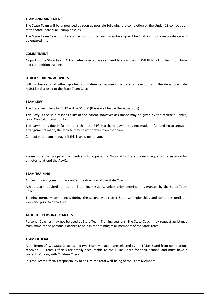#### **TEAM ANNOUNCEMENT**

The State Team will be announced as soon as possible following the completion of the Under 13 competition at the State Individual Championships.

The State Team Selection Panel's decision on the Team Membership will be final and no correspondence will be entered into.

#### **COMMITMENT**

As part of the State Team, ALL athletes selected are required to show their COMMITMENT to Team functions and competition training.

#### **OTHER SPORTING ACTIVITIES**

Full disclosure of all other sporting commitments between the date of selection and the departure date MUST be disclosed to the State Team Coach.

#### **TEAM LEVY**

The State Team levy for 2019 will be \$1,300 (this is well below the actual cost).

This Levy is the sole responsibility of the parent, however assistance may be given by the athlete's Centre, Local Council or community.

The payment is due in full no later than the  $31<sup>st</sup>$  March. If payment is not made in full and no acceptable arrangements made, the athlete may be withdrawn from the team.

Contact your team manager if this is an issue for you.

Please note that no parent or Centre is to approach a National or State Sponsor requesting assistance for athletes to attend the ALACs.

#### **TEAM TRAINING**

All Team Training sessions are under the direction of the State Coach.

Athletes are required to attend all training sessions, unless prior permission is granted by the State Team Coach.

Training normally commences during the second week after State Championships and continues until the weekend prior to departure.

## **ATHLETE'S PERSONAL COACHES**

Personal Coaches may not be used at State Team Training sessions. The State Coach may request assistance from some of the personal Coaches to help in the training of all members of the State Team.

## **TEAM OFFICIALS**

A minimum of two State Coaches and two Team Managers are selected by the LATas Board from nominations received. All Team Officials are totally accountable to the LATas Board for their actions, and must have a current Working with Children Check.

It is the Team Officials responsibility to ensure the total well-being of the Team Members.